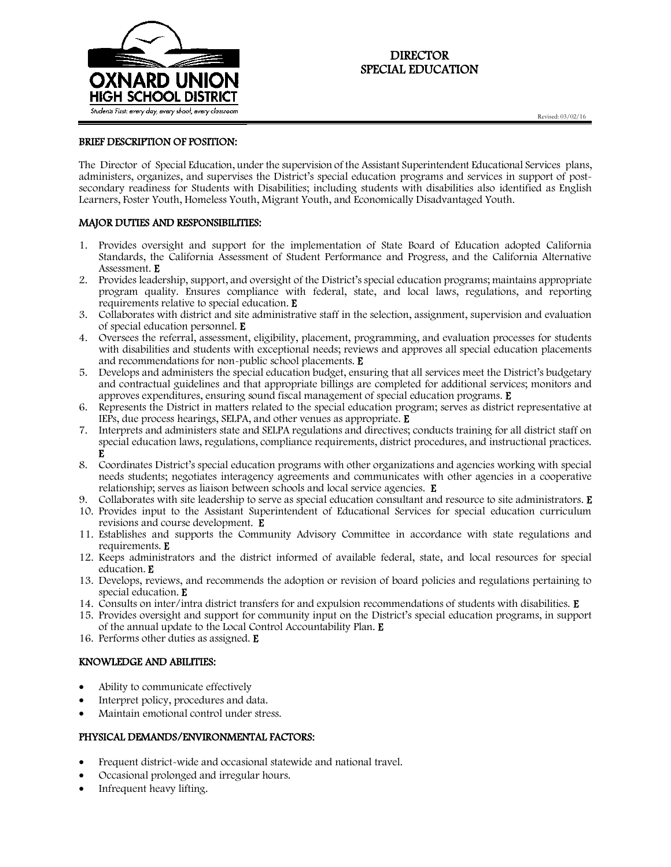

# DIRECTOR SPECIAL EDUCATION

## BRIEF DESCRIPTION OF POSITION:

The Director of Special Education, under the supervision of the Assistant Superintendent Educational Services plans, administers, organizes, and supervises the District's special education programs and services in support of postsecondary readiness for Students with Disabilities; including students with disabilities also identified as English Learners, Foster Youth, Homeless Youth, Migrant Youth, and Economically Disadvantaged Youth.

## MAJOR DUTIES AND RESPONSIBILITIES:

- 1. Provides oversight and support for the implementation of State Board of Education adopted California Standards, the California Assessment of Student Performance and Progress, and the California Alternative Assessment. E
- 2. Provides leadership, support, and oversight of the District's special education programs; maintains appropriate program quality. Ensures compliance with federal, state, and local laws, regulations, and reporting requirements relative to special education. E
- 3. Collaborates with district and site administrative staff in the selection, assignment, supervision and evaluation of special education personnel. E
- 4. Oversees the referral, assessment, eligibility, placement, programming, and evaluation processes for students with disabilities and students with exceptional needs; reviews and approves all special education placements and recommendations for non-public school placements. E
- 5. Develops and administers the special education budget, ensuring that all services meet the District's budgetary and contractual guidelines and that appropriate billings are completed for additional services; monitors and approves expenditures, ensuring sound fiscal management of special education programs.  $E$
- 6. Represents the District in matters related to the special education program; serves as district representative at IEPs, due process hearings, SELPA, and other venues as appropriate. E
- 7. Interprets and administers state and SELPA regulations and directives; conducts training for all district staff on special education laws, regulations, compliance requirements, district procedures, and instructional practices. E
- 8. Coordinates District's special education programs with other organizations and agencies working with special needs students; negotiates interagency agreements and communicates with other agencies in a cooperative relationship; serves as liaison between schools and local service agencies. E
- 9. Collaborates with site leadership to serve as special education consultant and resource to site administrators. E 10. Provides input to the Assistant Superintendent of Educational Services for special education curriculum
- revisions and course development. E 11. Establishes and supports the Community Advisory Committee in accordance with state regulations and
- requirements. E
- 12. Keeps administrators and the district informed of available federal, state, and local resources for special education. E
- 13. Develops, reviews, and recommends the adoption or revision of board policies and regulations pertaining to special education. E
- 14. Consults on inter/intra district transfers for and expulsion recommendations of students with disabilities. E
- 15. Provides oversight and support for community input on the District's special education programs, in support of the annual update to the Local Control Accountability Plan. E
- 16. Performs other duties as assigned. E

## KNOWLEDGE AND ABILITIES:

- Ability to communicate effectively
- Interpret policy, procedures and data.
- Maintain emotional control under stress.

## PHYSICAL DEMANDS/ENVIRONMENTAL FACTORS:

- Frequent district-wide and occasional statewide and national travel.
- Occasional prolonged and irregular hours.
- Infrequent heavy lifting.